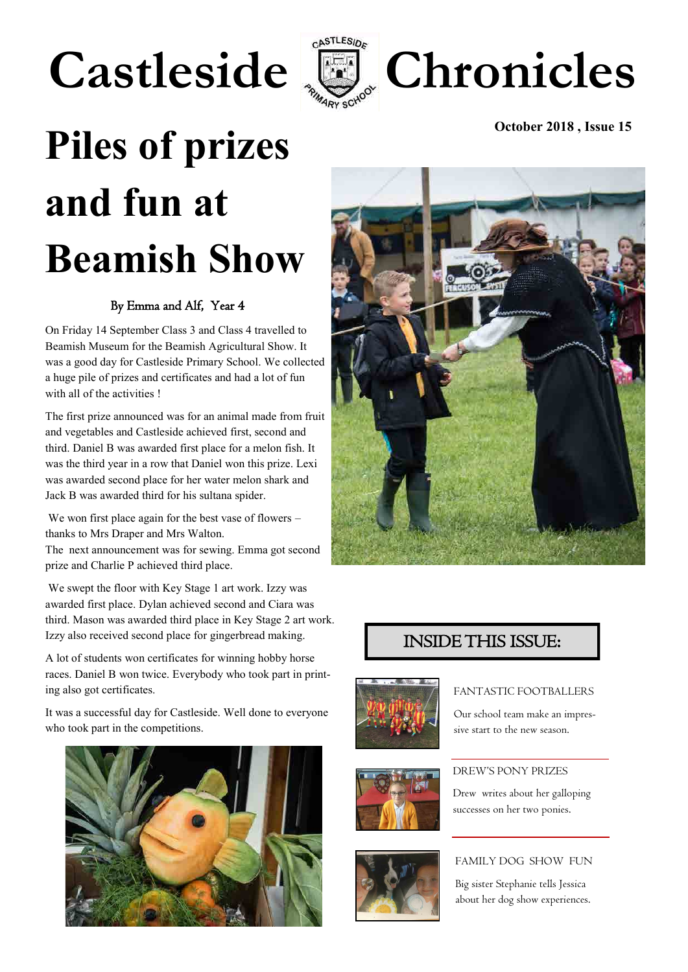# Castleside **E** Chronicles



# Piles of prizes **October 2018**, Issue 15 **and fun at Beamish Show**

### By Emma and Alf, Year 4

On Friday 14 September Class 3 and Class 4 travelled to Beamish Museum for the Beamish Agricultural Show. It was a good day for Castleside Primary School. We collected a huge pile of prizes and certificates and had a lot of fun with all of the activities !

The first prize announced was for an animal made from fruit and vegetables and Castleside achieved first, second and third. Daniel B was awarded first place for a melon fish. It was the third year in a row that Daniel won this prize. Lexi was awarded second place for her water melon shark and Jack B was awarded third for his sultana spider.

We won first place again for the best vase of flowers – thanks to Mrs Draper and Mrs Walton.

The next announcement was for sewing. Emma got second prize and Charlie P achieved third place.

We swept the floor with Key Stage 1 art work. Izzy was awarded first place. Dylan achieved second and Ciara was third. Mason was awarded third place in Key Stage 2 art work. Izzy also received second place for gingerbread making.

A lot of students won certificates for winning hobby horse races. Daniel B won twice. Everybody who took part in printing also got certificates.

It was a successful day for Castleside. Well done to everyone who took part in the competitions.





### INSIDE THIS ISSUE:







### FANTASTIC FOOTBALLERS

Our school team make an impressive start to the new season.

### DREW'S PONY PRIZES

Drew writes about her galloping successes on her two ponies.

### FAMILY DOG SHOW FUN

Big sister Stephanie tells Jessica about her dog show experiences.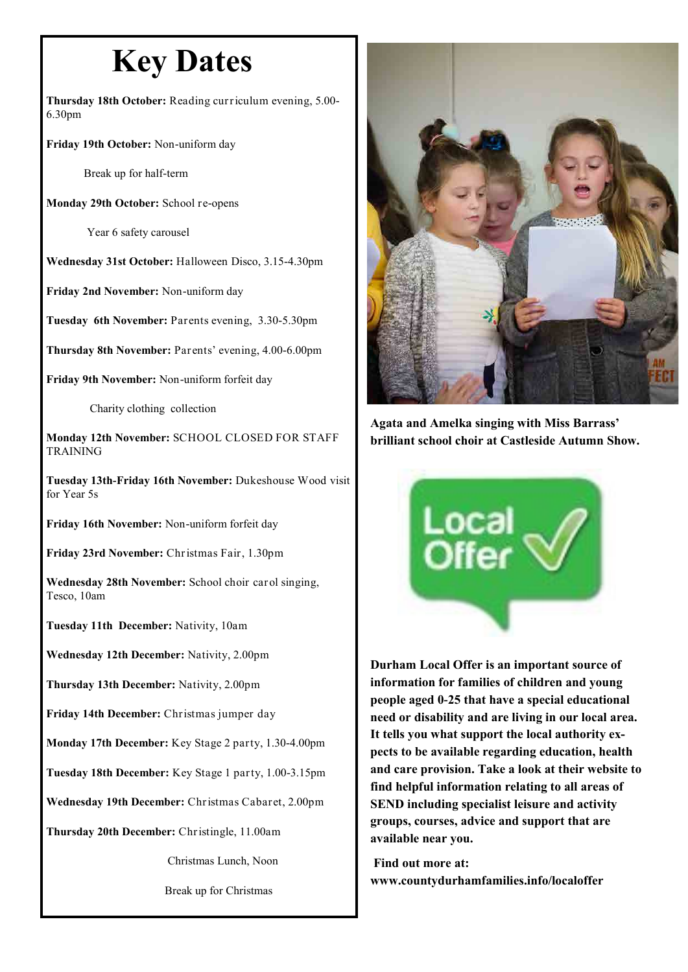### **Key Dates**

**Thursday 18th October:** Reading curriculum evening, 5.00- 6.30pm

**Friday 19th October:** Non-uniform day

Break up for half-term

**Monday 29th October:** School re-opens

Year 6 safety carousel

**Wednesday 31st October:** Halloween Disco, 3.15-4.30pm

**Friday 2nd November:** Non-uniform day

**Tuesday 6th November:** Parents evening, 3.30-5.30pm

**Thursday 8th November:** Parents' evening, 4.00-6.00pm

**Friday 9th November:** Non-uniform forfeit day

Charity clothing collection

**Monday 12th November:** SCHOOL CLOSED FOR STAFF TRAINING

**Tuesday 13th-Friday 16th November:** Dukeshouse Wood visit for Year 5s

**Friday 16th November:** Non-uniform forfeit day

**Friday 23rd November:** Christmas Fair, 1.30pm

**Wednesday 28th November:** School choir carol singing, Tesco, 10am

**Tuesday 11th December:** Nativity, 10am

**Wednesday 12th December:** Nativity, 2.00pm

**Thursday 13th December:** Nativity, 2.00pm

**Friday 14th December:** Christmas jumper day

**Monday 17th December:** Key Stage 2 party, 1.30-4.00pm

**Tuesday 18th December:** Key Stage 1 party, 1.00-3.15pm

**Wednesday 19th December:** Christmas Cabaret, 2.00pm

**Thursday 20th December:** Christingle, 11.00am

Christmas Lunch, Noon

Break up for Christmas



**Agata and Amelka singing with Miss Barrass' brilliant school choir at Castleside Autumn Show.**



**Durham Local Offer is an important source of information for families of children and young people aged 0-25 that have a special educational need or disability and are living in our local area. It tells you what support the local authority expects to be available regarding education, health and care provision. Take a look at their website to find helpful information relating to all areas of SEND including specialist leisure and activity groups, courses, advice and support that are available near you.** 

**Find out more at: www.countydurhamfamilies.info/localoffer**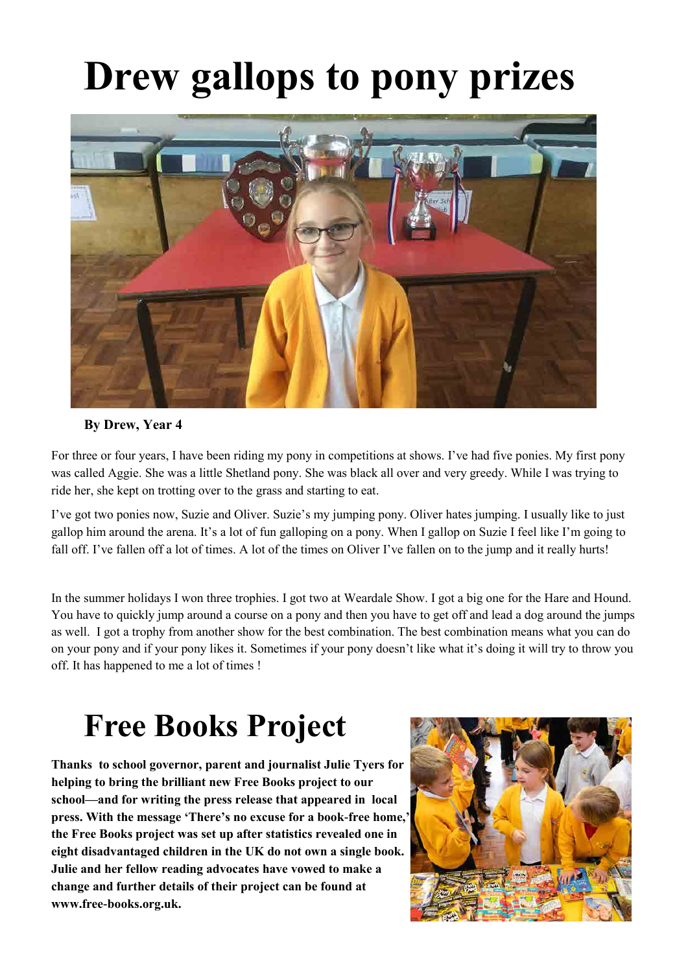## **Drew gallops to pony prizes**



### **By Drew, Year 4**

For three or four years, I have been riding my pony in competitions at shows. I've had five ponies. My first pony was called Aggie. She was a little Shetland pony. She was black all over and very greedy. While I was trying to ride her, she kept on trotting over to the grass and starting to eat.

I've got two ponies now, Suzie and Oliver. Suzie's my jumping pony. Oliver hates jumping. I usually like to just gallop him around the arena. It's a lot of fun galloping on a pony. When I gallop on Suzie I feel like I'm going to fall off. I've fallen off a lot of times. A lot of the times on Oliver I've fallen on to the jump and it really hurts!

In the summer holidays I won three trophies. I got two at Weardale Show. I got a big one for the Hare and Hound. You have to quickly jump around a course on a pony and then you have to get off and lead a dog around the jumps as well. I got a trophy from another show for the best combination. The best combination means what you can do on your pony and if your pony likes it. Sometimes if your pony doesn't like what it's doing it will try to throw you off. It has happened to me a lot of times !

### **Free Books Project**

**Thanks to school governor, parent and journalist Julie Tyers for helping to bring the brilliant new Free Books project to our school—and for writing the press release that appeared in local press. With the message 'There's no excuse for a book-free home,' the Free Books project was set up after statistics revealed one in eight disadvantaged children in the UK do not own a single book. Julie and her fellow reading advocates have vowed to make a change and further details of their project can be found at www.free-books.org.uk.** 

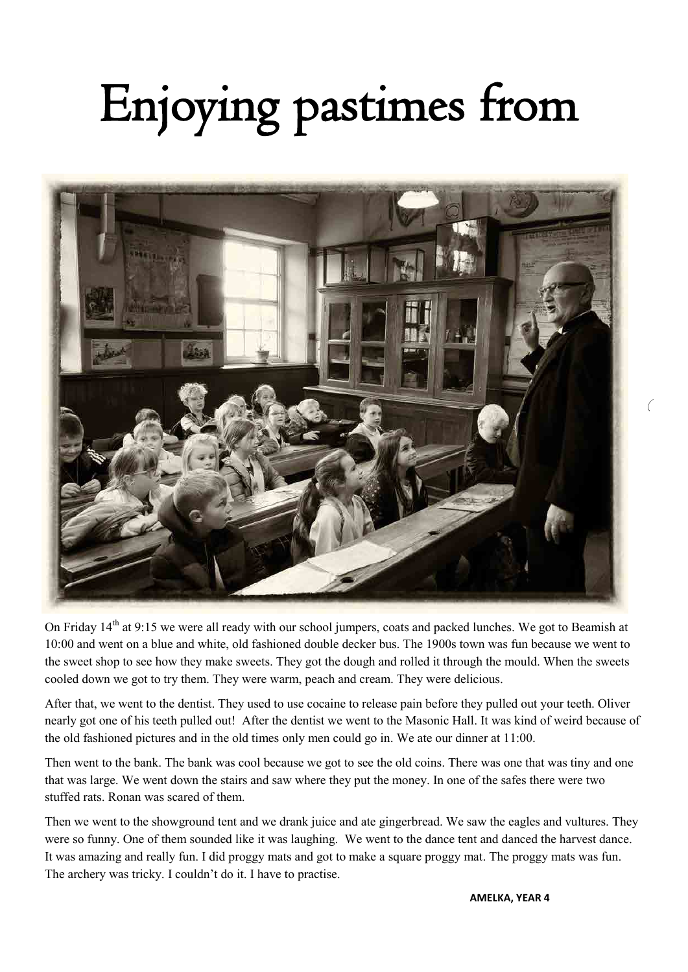# Enjoying pastimes from



On Friday 14<sup>th</sup> at 9:15 we were all ready with our school jumpers, coats and packed lunches. We got to Beamish at 10:00 and went on a blue and white, old fashioned double decker bus. The 1900s town was fun because we went to the sweet shop to see how they make sweets. They got the dough and rolled it through the mould. When the sweets cooled down we got to try them. They were warm, peach and cream. They were delicious.

After that, we went to the dentist. They used to use cocaine to release pain before they pulled out your teeth. Oliver nearly got one of his teeth pulled out! After the dentist we went to the Masonic Hall. It was kind of weird because of the old fashioned pictures and in the old times only men could go in. We ate our dinner at 11:00.

Then went to the bank. The bank was cool because we got to see the old coins. There was one that was tiny and one that was large. We went down the stairs and saw where they put the money. In one of the safes there were two stuffed rats. Ronan was scared of them.

Then we went to the showground tent and we drank juice and ate gingerbread. We saw the eagles and vultures. They were so funny. One of them sounded like it was laughing. We went to the dance tent and danced the harvest dance. It was amazing and really fun. I did proggy mats and got to make a square proggy mat. The proggy mats was fun. The archery was tricky. I couldn't do it. I have to practise.

**AMELKA, YEAR 4**

(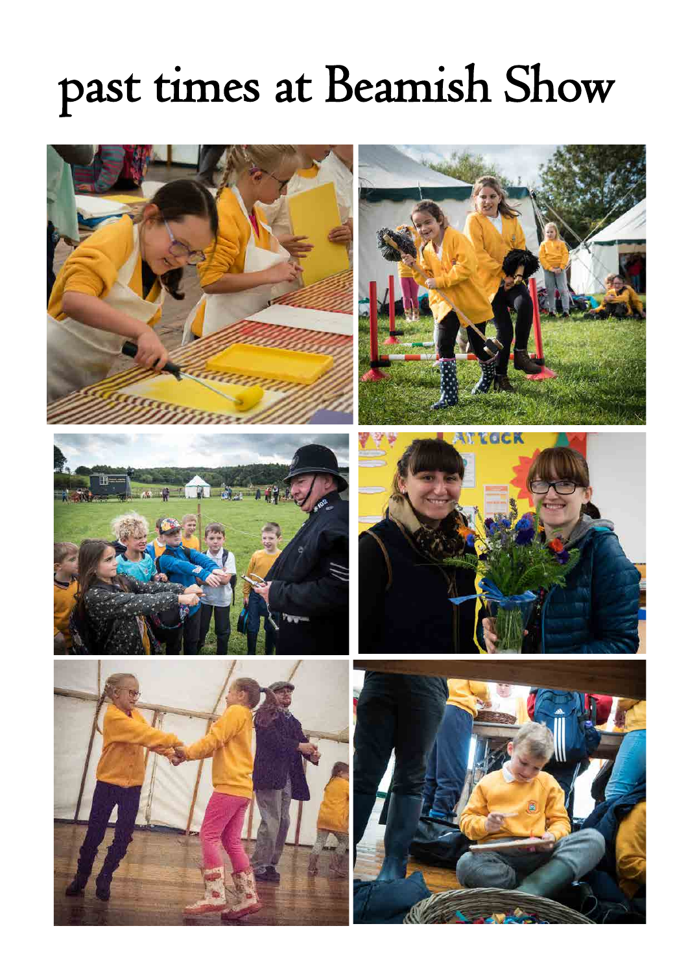### past times at Beamish Show

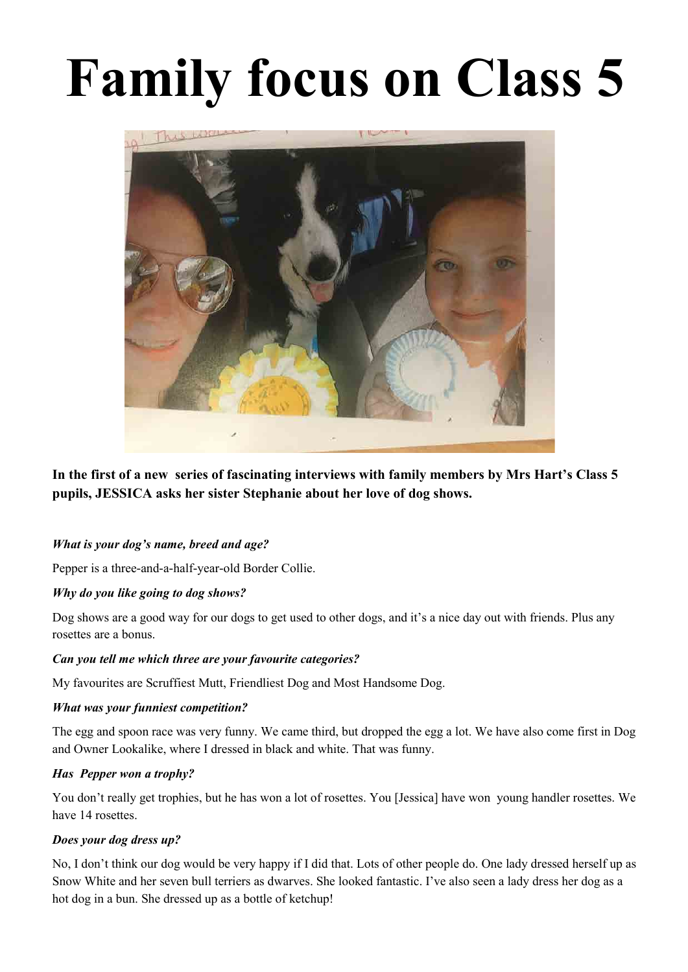# **Family focus on Class 5**



**In the first of a new series of fascinating interviews with family members by Mrs Hart's Class 5 pupils, JESSICA asks her sister Stephanie about her love of dog shows.**

### *What is your dog's name, breed and age?*

Pepper is a three-and-a-half-year-old Border Collie.

### *Why do you like going to dog shows?*

Dog shows are a good way for our dogs to get used to other dogs, and it's a nice day out with friends. Plus any rosettes are a bonus.

### *Can you tell me which three are your favourite categories?*

My favourites are Scruffiest Mutt, Friendliest Dog and Most Handsome Dog.

### *What was your funniest competition?*

The egg and spoon race was very funny. We came third, but dropped the egg a lot. We have also come first in Dog and Owner Lookalike, where I dressed in black and white. That was funny.

### *Has Pepper won a trophy?*

You don't really get trophies, but he has won a lot of rosettes. You [Jessica] have won young handler rosettes. We have 14 rosettes.

### *Does your dog dress up?*

No, I don't think our dog would be very happy if I did that. Lots of other people do. One lady dressed herself up as Snow White and her seven bull terriers as dwarves. She looked fantastic. I've also seen a lady dress her dog as a hot dog in a bun. She dressed up as a bottle of ketchup!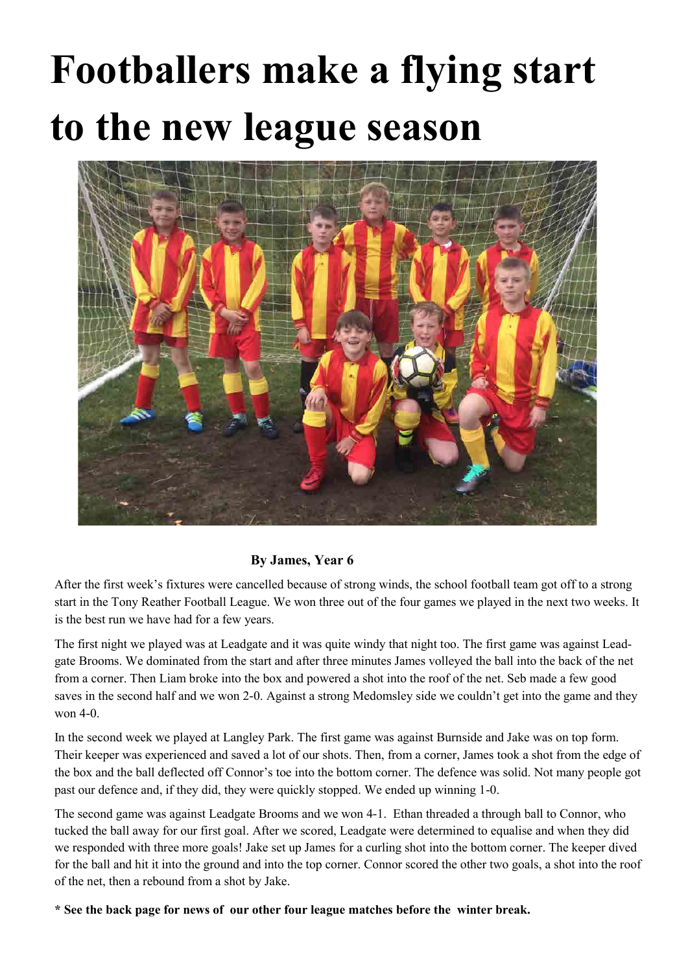## **Footballers make a flying start to the new league season**



### **By James, Year 6**

After the first week's fixtures were cancelled because of strong winds, the school football team got off to a strong start in the Tony Reather Football League. We won three out of the four games we played in the next two weeks. It is the best run we have had for a few years.

The first night we played was at Leadgate and it was quite windy that night too. The first game was against Leadgate Brooms. We dominated from the start and after three minutes James volleyed the ball into the back of the net from a corner. Then Liam broke into the box and powered a shot into the roof of the net. Seb made a few good saves in the second half and we won 2-0. Against a strong Medomsley side we couldn't get into the game and they won 4-0.

In the second week we played at Langley Park. The first game was against Burnside and Jake was on top form. Their keeper was experienced and saved a lot of our shots. Then, from a corner, James took a shot from the edge of the box and the ball deflected off Connor's toe into the bottom corner. The defence was solid. Not many people got past our defence and, if they did, they were quickly stopped. We ended up winning 1-0.

The second game was against Leadgate Brooms and we won 4-1. Ethan threaded a through ball to Connor, who tucked the ball away for our first goal. After we scored, Leadgate were determined to equalise and when they did we responded with three more goals! Jake set up James for a curling shot into the bottom corner. The keeper dived for the ball and hit it into the ground and into the top corner. Connor scored the other two goals, a shot into the roof of the net, then a rebound from a shot by Jake.

**\* See the back page for news of our other four league matches before the winter break.**